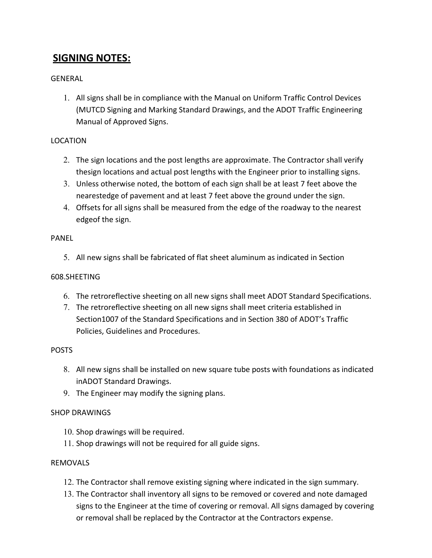# **SIGNING NOTES:**

## GENERAL

1. All signs shall be in compliance with the Manual on Uniform Traffic Control Devices (MUTCD Signing and Marking Standard Drawings, and the ADOT Traffic Engineering Manual of Approved Signs.

## LOCATION

- 2. The sign locations and the post lengths are approximate. The Contractor shall verify thesign locations and actual post lengths with the Engineer prior to installing signs.
- 3. Unless otherwise noted, the bottom of each sign shall be at least 7 feet above the nearestedge of pavement and at least 7 feet above the ground under the sign.
- 4. Offsets for all signs shall be measured from the edge of the roadway to the nearest edgeof the sign.

## PANEL

5. All new signs shall be fabricated of flat sheet aluminum as indicated in Section

## 608.SHEETING

- 6. The retroreflective sheeting on all new signs shall meet ADOT Standard Specifications.
- 7. The retroreflective sheeting on all new signs shall meet criteria established in Section1007 of the Standard Specifications and in Section 380 of ADOT's Traffic Policies, Guidelines and Procedures.

#### POSTS

- 8. All new signs shall be installed on new square tube posts with foundations as indicated inADOT Standard Drawings.
- 9. The Engineer may modify the signing plans.

# SHOP DRAWINGS

- 10. Shop drawings will be required.
- 11. Shop drawings will not be required for all guide signs.

#### REMOVALS

- 12. The Contractor shall remove existing signing where indicated in the sign summary.
- 13. The Contractor shall inventory all signs to be removed or covered and note damaged signs to the Engineer at the time of covering or removal. All signs damaged by covering or removal shall be replaced by the Contractor at the Contractors expense.